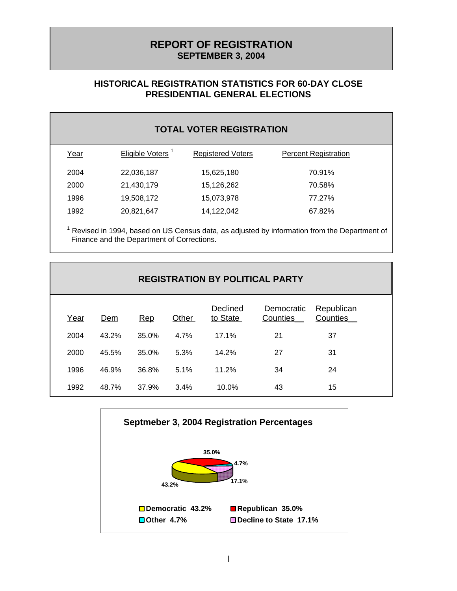# **REPORT OF REGISTRATION SEPTEMBER 3, 2004**

## **HISTORICAL REGISTRATION STATISTICS FOR 60-DAY CLOSE PRESIDENTIAL GENERAL ELECTIONS**

| <b>TOTAL VOTER REGISTRATION</b> |                              |                          |                             |  |
|---------------------------------|------------------------------|--------------------------|-----------------------------|--|
| Year                            | Eligible Voters <sup>1</sup> | <b>Registered Voters</b> | <b>Percent Registration</b> |  |
| 2004                            | 22,036,187                   | 15,625,180               | 70.91%                      |  |
| 2000                            | 21,430,179                   | 15,126,262               | 70.58%                      |  |
| 1996                            | 19,508,172                   | 15,073,978               | 77.27%                      |  |
| 1992                            | 20,821,647                   | 14,122,042               | 67.82%                      |  |

 $1$  Revised in 1994, based on US Census data, as adjusted by information from the Department of Finance and the Department of Corrections.

| <b>REGISTRATION BY POLITICAL PARTY</b> |       |       |       |                      |                        |                        |
|----------------------------------------|-------|-------|-------|----------------------|------------------------|------------------------|
| Year                                   | Dem   | Rep   | Other | Declined<br>to State | Democratic<br>Counties | Republican<br>Counties |
| 2004                                   | 43.2% | 35.0% | 4.7%  | 17.1%                | 21                     | 37                     |
| 2000                                   | 45.5% | 35.0% | 5.3%  | 14.2%                | 27                     | 31                     |
| 1996                                   | 46.9% | 36.8% | 5.1%  | 11.2%                | 34                     | 24                     |
| 1992                                   | 48.7% | 37.9% | 3.4%  | 10.0%                | 43                     | 15                     |

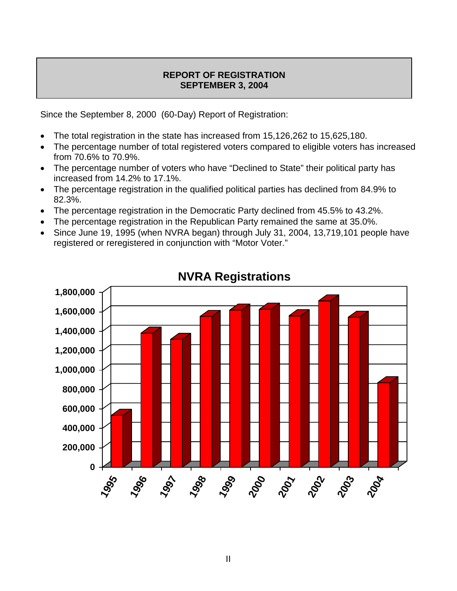### **REPORT OF REGISTRATION SEPTEMBER 3, 2004**

Since the September 8, 2000 (60-Day) Report of Registration:

- The total registration in the state has increased from 15,126,262 to 15,625,180.
- The percentage number of total registered voters compared to eligible voters has increased from 70.6% to 70.9%.
- The percentage number of voters who have "Declined to State" their political party has increased from 14.2% to 17.1%.
- The percentage registration in the qualified political parties has declined from 84.9% to 82.3%.
- The percentage registration in the Democratic Party declined from 45.5% to 43.2%.
- The percentage registration in the Republican Party remained the same at 35.0%.
- Since June 19, 1995 (when NVRA began) through July 31, 2004, 13,719,101 people have registered or reregistered in conjunction with "Motor Voter."



# **NVRA Registrations**